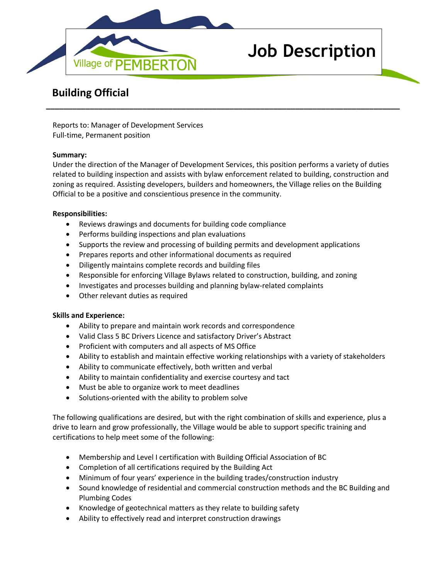

# **Job Description**

# **Building Official**

Reports to: Manager of Development Services Full-time, Permanent position

## **Summary:**

Under the direction of the Manager of Development Services, this position performs a variety of duties related to building inspection and assists with bylaw enforcement related to building, construction and zoning as required. Assisting developers, builders and homeowners, the Village relies on the Building Official to be a positive and conscientious presence in the community.

**\_\_\_\_\_\_\_\_\_\_\_\_\_\_\_\_\_\_\_\_\_\_\_\_\_\_\_\_\_\_\_\_\_\_\_\_\_\_\_\_\_\_\_\_\_\_\_\_\_\_\_\_\_\_\_\_\_\_\_\_\_\_\_\_\_\_\_\_\_\_\_\_\_\_\_\_\_\_\_\_\_**

## **Responsibilities:**

- Reviews drawings and documents for building code compliance
- Performs building inspections and plan evaluations
- Supports the review and processing of building permits and development applications
- Prepares reports and other informational documents as required
- Diligently maintains complete records and building files
- Responsible for enforcing Village Bylaws related to construction, building, and zoning
- Investigates and processes building and planning bylaw-related complaints
- Other relevant duties as required

#### **Skills and Experience:**

- Ability to prepare and maintain work records and correspondence
- Valid Class 5 BC Drivers Licence and satisfactory Driver's Abstract
- Proficient with computers and all aspects of MS Office
- Ability to establish and maintain effective working relationships with a variety of stakeholders
- Ability to communicate effectively, both written and verbal
- Ability to maintain confidentiality and exercise courtesy and tact
- Must be able to organize work to meet deadlines
- Solutions-oriented with the ability to problem solve

The following qualifications are desired, but with the right combination of skills and experience, plus a drive to learn and grow professionally, the Village would be able to support specific training and certifications to help meet some of the following:

- Membership and Level I certification with Building Official Association of BC
- Completion of all certifications required by the Building Act
- Minimum of four years' experience in the building trades/construction industry
- Sound knowledge of residential and commercial construction methods and the BC Building and Plumbing Codes
- Knowledge of geotechnical matters as they relate to building safety
- Ability to effectively read and interpret construction drawings